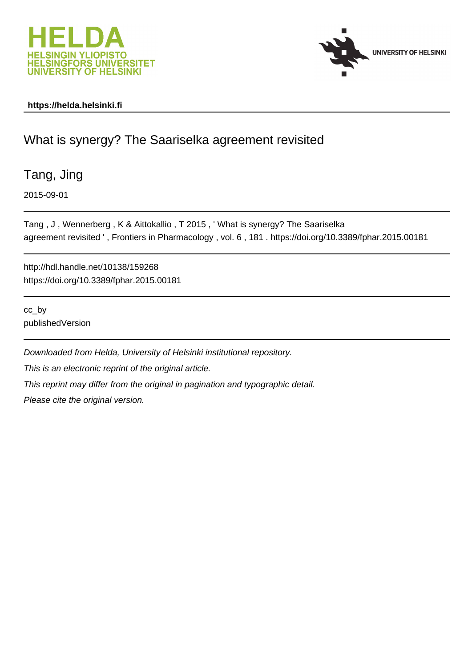



### **https://helda.helsinki.fi**

## What is synergy? The Saariselka agreement revisited

Tang, Jing

2015-09-01

Tang , J , Wennerberg , K & Aittokallio , T 2015 , ' What is synergy? The Saariselka agreement revisited ' , Frontiers in Pharmacology , vol. 6 , 181 . https://doi.org/10.3389/fphar.2015.00181

http://hdl.handle.net/10138/159268 https://doi.org/10.3389/fphar.2015.00181

cc\_by publishedVersion

Downloaded from Helda, University of Helsinki institutional repository. This is an electronic reprint of the original article. This reprint may differ from the original in pagination and typographic detail. Please cite the original version.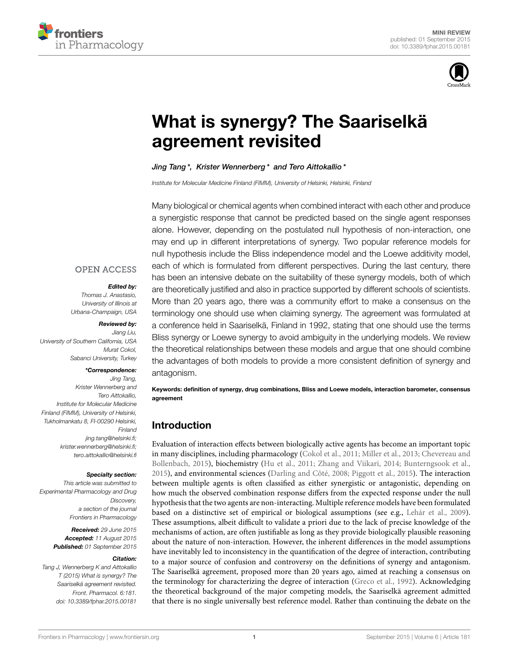



# [What is synergy? The Saariselkä](http://journal.frontiersin.org/article/10.3389/fphar.2015.00181/abstract) agreement revisited

#### Jing Tang<sup>\*</sup>, Krister Wennerberg<sup>\*</sup> and [Tero Aittokallio](http://loop.frontiersin.org/people/64177/overview)<sup>\*</sup>

Institute for Molecular Medicine Finland (FIMM), University of Helsinki, Helsinki, Finland

Many biological or chemical agents when combined interact with each other and produce a synergistic response that cannot be predicted based on the single agent responses alone. However, depending on the postulated null hypothesis of non-interaction, one may end up in different interpretations of synergy. Two popular reference models for null hypothesis include the Bliss independence model and the Loewe additivity model, each of which is formulated from different perspectives. During the last century, there has been an intensive debate on the suitability of these synergy models, both of which are theoretically justified and also in practice supported by different schools of scientists. More than 20 years ago, there was a community effort to make a consensus on the terminology one should use when claiming synergy. The agreement was formulated at a conference held in Saariselkä, Finland in 1992, stating that one should use the terms Bliss synergy or Loewe synergy to avoid ambiguity in the underlying models. We review the theoretical relationships between these models and argue that one should combine the advantages of both models to provide a more consistent definition of synergy and antagonism.

Keywords: definition of synergy, drug combinations, Bliss and Loewe models, interaction barometer, consensus agreement

### Introduction

Evaluation of interaction effects between biologically active agents has become an important topic in many disciplines, including pharmacology (Cokol et al., 2011; Miller et al., 2013; Chevereau and Bollenbach, 2015), biochemistry (Hu et al., 2011; Zhang and Viikari, 2014; Bunterngsook et al., 2015), and environmental sciences (Darling and Côté, 2008; Piggott et al., 2015). The interaction between multiple agents is often classified as either synergistic or antagonistic, depending on how much the observed combination response differs from the expected response under the null hypothesis that the two agents are non-interacting. Multiple reference models have been formulated based on a distinctive set of empirical or biological assumptions (see e.g., Lehár et al., 2009). These assumptions, albeit difficult to validate a priori due to the lack of precise knowledge of the mechanisms of action, are often justifiable as long as they provide biologically plausible reasoning about the nature of non-interaction. However, the inherent differences in the model assumptions have inevitably led to inconsistency in the quantification of the degree of interaction, contributing to a major source of confusion and controversy on the definitions of synergy and antagonism. The Saariselkä agreement, proposed more than 20 years ago, aimed at reaching a consensus on the terminology for characterizing the degree of interaction (Greco et al., 1992). Acknowledging the theoretical background of the major competing models, the Saariselkä agreement admitted that there is no single universally best reference model. Rather than continuing the debate on the

### **OPEN ACCESS**

#### Edited by:

Thomas J. Anastasio, University of Illinois at Urbana-Champaign, USA

#### Reviewed by:

Jiang Liu, University of Southern California, USA Murat Cokol, Sabanci University, Turkey

#### \*Correspondence:

Jing Tang, Krister Wennerberg and Tero Aittokallio, Institute for Molecular Medicine Finland (FIMM), University of Helsinki, Tukholmankatu 8, FI-00290 Helsinki, Finland [jing.tang@helsinki.fi;](mailto:jing.tang@helsinki.fi) [krister.wennerberg@helsinki.fi;](mailto:krister.wennerberg@helsinki.fi) [tero.aittokallio@helsinki.fi](mailto:tero.aittokallio@helsinki.fi)

#### Specialty section:

This article was submitted to Experimental Pharmacology and Drug Discovery, a section of the journal Frontiers in Pharmacology

> Received: 29 June 2015 Accepted: 11 August 2015 Published: 01 September 2015

#### Citation:

Tang J, Wennerberg K and Aittokallio T (2015) What is synergy? The Saariselkä agreement revisited. Front. Pharmacol. 6:181. doi: [10.3389/fphar.2015.00181](http://dx.doi.org/10.3389/fphar.2015.00181)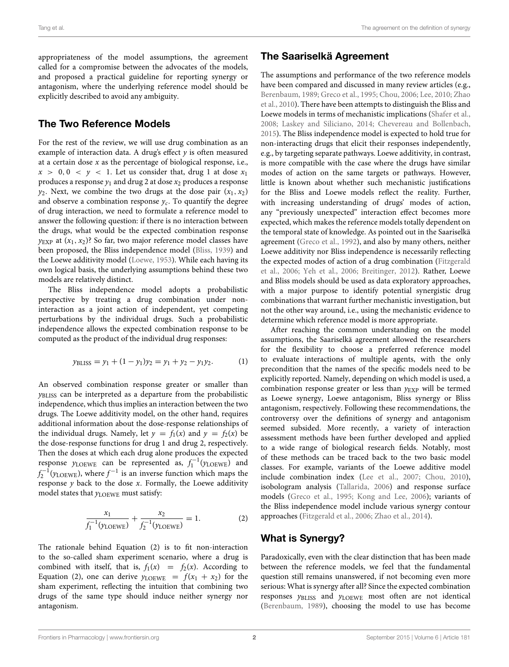appropriateness of the model assumptions, the agreement called for a compromise between the advocates of the models, and proposed a practical guideline for reporting synergy or antagonism, where the underlying reference model should be explicitly described to avoid any ambiguity.

### The Two Reference Models

For the rest of the review, we will use drug combination as an example of interaction data. A drug's effect  $y$  is often measured at a certain dose  $x$  as the percentage of biological response, i.e.,  $x > 0, 0 < y < 1$ . Let us consider that, drug 1 at dose  $x_1$ produces a response  $y_1$  and drug 2 at dose  $x_2$  produces a response  $y_2$ . Next, we combine the two drugs at the dose pair  $(x_1, x_2)$ and observe a combination response  $y_c$ . To quantify the degree of drug interaction, we need to formulate a reference model to answer the following question: if there is no interaction between the drugs, what would be the expected combination response  $y_{\text{EXP}}$  at  $(x_1, x_2)$ ? So far, two major reference model classes have been proposed, the Bliss independence model (Bliss, 1939) and the Loewe additivity model (Loewe, 1953). While each having its own logical basis, the underlying assumptions behind these two models are relatively distinct.

The Bliss independence model adopts a probabilistic perspective by treating a drug combination under noninteraction as a joint action of independent, yet competing perturbations by the individual drugs. Such a probabilistic independence allows the expected combination response to be computed as the product of the individual drug responses:

$$
y_{\text{BLISS}} = y_1 + (1 - y_1)y_2 = y_1 + y_2 - y_1y_2. \tag{1}
$$

An observed combination response greater or smaller than yBLISS can be interpreted as a departure from the probabilistic independence, which thus implies an interaction between the two drugs. The Loewe additivity model, on the other hand, requires additional information about the dose-response relationships of the individual drugs. Namely, let  $y = f_1(x)$  and  $y = f_2(x)$  be the dose-response functions for drug 1 and drug 2, respectively. Then the doses at which each drug alone produces the expected response  $y_{\text{LOEWE}}$  can be represented as,  $f_1^{-1}(y_{\text{LOEWE}})$  and  $f_2^{-1}(y_{\text{LOEWE}})$ , where  $f^{-1}$  is an inverse function which maps the response  $y$  back to the dose  $x$ . Formally, the Loewe additivity model states that  $y_{\rm LOEWE}$  must satisfy:

$$
\frac{x_1}{f_1^{-1}(y_{\text{LOEWE}})} + \frac{x_2}{f_2^{-1}(y_{\text{LOEWE}})} = 1. \tag{2}
$$

The rationale behind Equation (2) is to fit non-interaction to the so-called sham experiment scenario, where a drug is combined with itself, that is,  $f_1(x) = f_2(x)$ . According to Equation (2), one can derive  $y_{\text{LOEWE}} = f(x_1 + x_2)$  for the sham experiment, reflecting the intuition that combining two drugs of the same type should induce neither synergy nor antagonism.

### The Saariselkä Agreement

The assumptions and performance of the two reference models have been compared and discussed in many review articles (e.g., Berenbaum, 1989; Greco et al., 1995; Chou, 2006; Lee, 2010; Zhao et al., 2010). There have been attempts to distinguish the Bliss and Loewe models in terms of mechanistic implications (Shafer et al., 2008; Laskey and Siliciano, 2014; Chevereau and Bollenbach, 2015). The Bliss independence model is expected to hold true for non-interacting drugs that elicit their responses independently, e.g., by targeting separate pathways. Loewe additivity, in contrast, is more compatible with the case where the drugs have similar modes of action on the same targets or pathways. However, little is known about whether such mechanistic justifications for the Bliss and Loewe models reflect the reality. Further, with increasing understanding of drugs' modes of action, any "previously unexpected" interaction effect becomes more expected, which makes the reference models totally dependent on the temporal state of knowledge. As pointed out in the Saariselkä agreement (Greco et al., 1992), and also by many others, neither Loewe additivity nor Bliss independence is necessarily reflecting the expected modes of action of a drug combination (Fitzgerald et al., 2006; Yeh et al., 2006; Breitinger, 2012). Rather, Loewe and Bliss models should be used as data exploratory approaches, with a major purpose to identify potential synergistic drug combinations that warrant further mechanistic investigation, but not the other way around, i.e., using the mechanistic evidence to determine which reference model is more appropriate.

After reaching the common understanding on the model assumptions, the Saariselkä agreement allowed the researchers for the flexibility to choose a preferred reference model to evaluate interactions of multiple agents, with the only precondition that the names of the specific models need to be explicitly reported. Namely, depending on which model is used, a combination response greater or less than  $y_{EXP}$  will be termed as Loewe synergy, Loewe antagonism, Bliss synergy or Bliss antagonism, respectively. Following these recommendations, the controversy over the definitions of synergy and antagonism seemed subsided. More recently, a variety of interaction assessment methods have been further developed and applied to a wide range of biological research fields. Notably, most of these methods can be traced back to the two basic model classes. For example, variants of the Loewe additive model include combination index (Lee et al., 2007; Chou, 2010), isobologram analysis (Tallarida, 2006) and response surface models (Greco et al., 1995; Kong and Lee, 2006); variants of the Bliss independence model include various synergy contour approaches (Fitzgerald et al., 2006; Zhao et al., 2014).

### What is Synergy?

Paradoxically, even with the clear distinction that has been made between the reference models, we feel that the fundamental question still remains unanswered, if not becoming even more serious: What is synergy after all? Since the expected combination responses yBLISS and yLOEWE most often are not identical (Berenbaum, 1989), choosing the model to use has become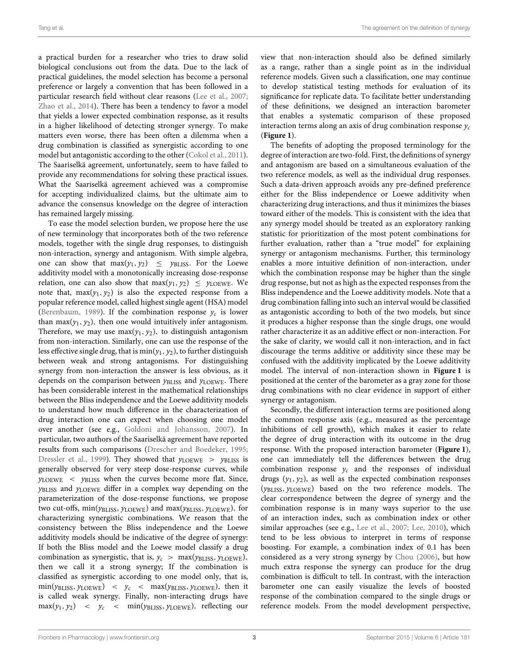a practical burden for a researcher who tries to draw solid biological conclusions out from the data. Due to the lack of practical guidelines, the model selection has become a personal preference or largely a convention that has been followed in a particular research field without clear reasons (Lee et al., 2007; Zhao et al., 2014). There has been a tendency to favor a model that yields a lower expected combination response, as it results in a higher likelihood of detecting stronger synergy. To make matters even worse, there has been often a dilemma when a drug combination is classified as synergistic according to one model but antagonistic according to the other (Cokol et al., 2011). The Saariselkä agreement, unfortunately, seem to have failed to provide any recommendations for solving these practical issues. What the Saariselkä agreement achieved was a compromise for accepting individualized claims, but the ultimate aim to advance the consensus knowledge on the degree of interaction has remained largely missing.

To ease the model selection burden, we propose here the use of new terminology that incorporates both of the two reference models, together with the single drug responses, to distinguish non-interaction, synergy and antagonism. With simple algebra, one can show that  $max(y_1, y_2) \le y_{\text{BLISS}}$ . For the Loewe additivity model with a monotonically increasing dose-response relation, one can also show that  $max(y_1, y_2) \le y_{\text{LOEWE}}$ . We note that,  $max(y_1, y_2)$  is also the expected response from a popular reference model, called highest single agent (HSA) model (Berenbaum, 1989). If the combination response  $y_c$  is lower than max( $y_1, y_2$ ), then one would intuitively infer antagonism. Therefore, we may use  $max(y_1, y_2)$ , to distinguish antagonism from non-interaction. Similarly, one can use the response of the less effective single drug, that is  $min(y_1, y_2)$ , to further distinguish between weak and strong antagonisms. For distinguishing synergy from non-interaction the answer is less obvious, as it depends on the comparison between  $y_{\text{BLISS}}$  and  $y_{\text{LOEWE}}$ . There has been considerable interest in the mathematical relationships between the Bliss independence and the Loewe additivity models to understand how much difference in the characterization of drug interaction one can expect when choosing one model over another (see e.g., Goldoni and Johansson, 2007). In particular, two authors of the Saariselkä agreement have reported results from such comparisons (Drescher and Boedeker, 1995; Dressler et al., 1999). They showed that  $y_{\text{LOEWE}} > y_{\text{BLISS}}$  is generally observed for very steep dose-response curves, while  $y_{\text{LOEWE}}$  <  $y_{\text{BLISS}}$  when the curves become more flat. Since,  $y_{\text{BLISS}}$  and  $y_{\text{LOEWE}}$  differ in a complex way depending on the parameterization of the dose-response functions, we propose two cut-offs,  $min(y_{\text{BLISS}}, y_{\text{LOEWE}})$  and  $max(y_{\text{BLISS}}, y_{\text{LOEWE}})$ , for characterizing synergistic combinations. We reason that the consistency between the Bliss independence and the Loewe additivity models should be indicative of the degree of synergy: If both the Bliss model and the Loewe model classify a drug combination as synergistic, that is,  $y_c$  > max( $y_{\text{BLISS}}, y_{\text{LOEWE}}$ ), then we call it a strong synergy; If the combination is classified as synergistic according to one model only, that is,  $\min(y_{\text{BLISS}}, y_{\text{LOEWE}})$  <  $y_c$  <  $\max(y_{\text{BLISS}}, y_{\text{LOEWE}})$ , then it is called weak synergy. Finally, non-interacting drugs have  $max(y_1, y_2)$  <  $y_c$  <  $min(y_{\text{BLISS}}, y_{\text{LOEWE}})$ , reflecting our view that non-interaction should also be defined similarly as a range, rather than a single point as in the individual reference models. Given such a classification, one may continue to develop statistical testing methods for evaluation of its significance for replicate data. To facilitate better understanding of these definitions, we designed an interaction barometer that enables a systematic comparison of these proposed interaction terms along an axis of drug combination response  $y_c$ (**Figure 1**).

The benefits of adopting the proposed terminology for the degree of interaction are two-fold. First, the definitions of synergy and antagonism are based on a simultaneous evaluation of the two reference models, as well as the individual drug responses. Such a data-driven approach avoids any pre-defined preference either for the Bliss independence or Loewe additivity when characterizing drug interactions, and thus it minimizes the biases toward either of the models. This is consistent with the idea that any synergy model should be treated as an exploratory ranking statistic for prioritization of the most potent combinations for further evaluation, rather than a "true model" for explaining synergy or antagonism mechanisms. Further, this terminology enables a more intuitive definition of non-interaction, under which the combination response may be higher than the single drug response, but not as high as the expected responses from the Bliss independence and the Loewe additivity models. Note that a drug combination falling into such an interval would be classified as antagonistic according to both of the two models, but since it produces a higher response than the single drugs, one would rather characterize it as an additive effect or non-interaction. For the sake of clarity, we would call it non-interaction, and in fact discourage the terms additive or additivity since these may be confused with the additivity implicated by the Loewe additivity model. The interval of non-interaction shown in **Figure 1** is positioned at the center of the barometer as a gray zone for those drug combinations with no clear evidence in support of either synergy or antagonism.

Secondly, the different interaction terms are positioned along the common response axis (e.g., measured as the percentage inhibitions of cell growth), which makes it easier to relate the degree of drug interaction with its outcome in the drug response. With the proposed interaction barometer (**Figure 1**), one can immediately tell the differences between the drug combination response  $y_c$  and the responses of individual drugs  $(y_1, y_2)$ , as well as the expected combination responses (yBLISS, yLOEWE) based on the two reference models. The clear correspondence between the degree of synergy and the combination response is in many ways superior to the use of an interaction index, such as combination index or other similar approaches (see e.g., Lee et al., 2007; Lee, 2010), which tend to be less obvious to interpret in terms of response boosting. For example, a combination index of 0.1 has been considered as a very strong synergy by Chou (2006), but how much extra response the synergy can produce for the drug combination is difficult to tell. In contrast, with the interaction barometer one can easily visualize the levels of boosted response of the combination compared to the single drugs or reference models. From the model development perspective,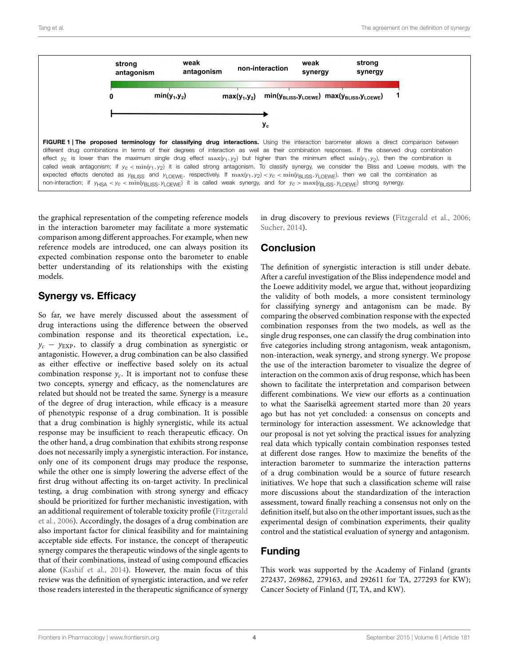

the graphical representation of the competing reference models in the interaction barometer may facilitate a more systematic comparison among different approaches. For example, when new reference models are introduced, one can always position its expected combination response onto the barometer to enable better understanding of its relationships with the existing models.

### Synergy vs. Efficacy

So far, we have merely discussed about the assessment of drug interactions using the difference between the observed combination response and its theoretical expectation, i.e.,  $y_c - y_{\text{EXP}}$ , to classify a drug combination as synergistic or antagonistic. However, a drug combination can be also classified as either effective or ineffective based solely on its actual combination response  $y_c$ . It is important not to confuse these two concepts, synergy and efficacy, as the nomenclatures are related but should not be treated the same. Synergy is a measure of the degree of drug interaction, while efficacy is a measure of phenotypic response of a drug combination. It is possible that a drug combination is highly synergistic, while its actual response may be insufficient to reach therapeutic efficacy. On the other hand, a drug combination that exhibits strong response does not necessarily imply a synergistic interaction. For instance, only one of its component drugs may produce the response, while the other one is simply lowering the adverse effect of the first drug without affecting its on-target activity. In preclinical testing, a drug combination with strong synergy and efficacy should be prioritized for further mechanistic investigation, with an additional requirement of tolerable toxicity profile (Fitzgerald et al., 2006). Accordingly, the dosages of a drug combination are also important factor for clinical feasibility and for maintaining acceptable side effects. For instance, the concept of therapeutic synergy compares the therapeutic windows of the single agents to that of their combinations, instead of using compound efficacies alone (Kashif et al., 2014). However, the main focus of this review was the definition of synergistic interaction, and we refer those readers interested in the therapeutic significance of synergy in drug discovery to previous reviews (Fitzgerald et al., 2006; Sucher, 2014).

### **Conclusion**

The definition of synergistic interaction is still under debate. After a careful investigation of the Bliss independence model and the Loewe additivity model, we argue that, without jeopardizing the validity of both models, a more consistent terminology for classifying synergy and antagonism can be made. By comparing the observed combination response with the expected combination responses from the two models, as well as the single drug responses, one can classify the drug combination into five categories including strong antagonism, weak antagonism, non-interaction, weak synergy, and strong synergy. We propose the use of the interaction barometer to visualize the degree of interaction on the common axis of drug response, which has been shown to facilitate the interpretation and comparison between different combinations. We view our efforts as a continuation to what the Saariselkä agreement started more than 20 years ago but has not yet concluded: a consensus on concepts and terminology for interaction assessment. We acknowledge that our proposal is not yet solving the practical issues for analyzing real data which typically contain combination responses tested at different dose ranges. How to maximize the benefits of the interaction barometer to summarize the interaction patterns of a drug combination would be a source of future research initiatives. We hope that such a classification scheme will raise more discussions about the standardization of the interaction assessment, toward finally reaching a consensus not only on the definition itself, but also on the other important issues, such as the experimental design of combination experiments, their quality control and the statistical evaluation of synergy and antagonism.

### Funding

This work was supported by the Academy of Finland (grants 272437, 269862, 279163, and 292611 for TA, 277293 for KW); Cancer Society of Finland (JT, TA, and KW).